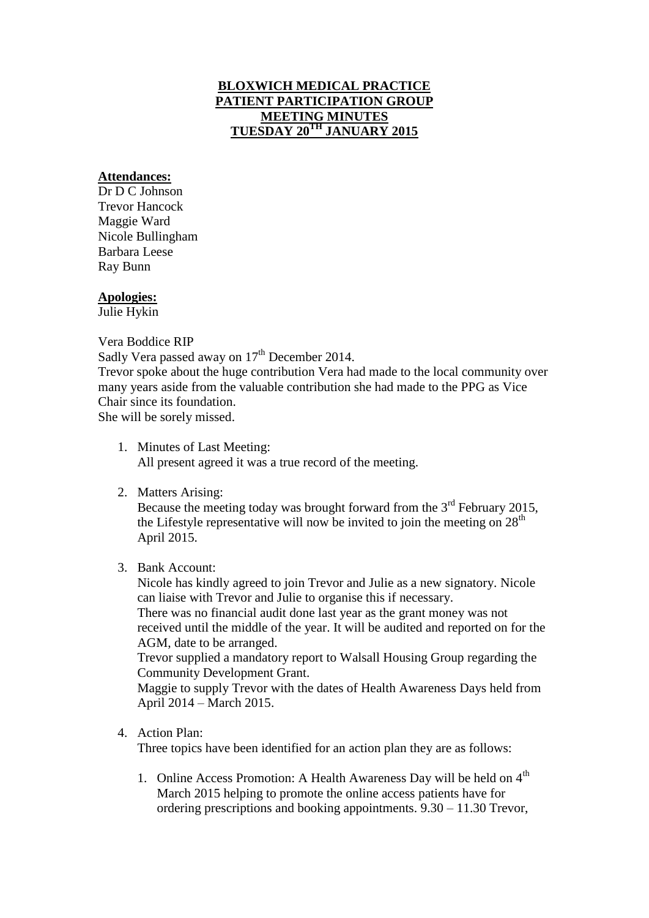# **BLOXWICH MEDICAL PRACTICE PATIENT PARTICIPATION GROUP MEETING MINUTES TUESDAY 20TH JANUARY 2015**

### **Attendances:**

Dr D C Johnson Trevor Hancock Maggie Ward Nicole Bullingham Barbara Leese Ray Bunn

### **Apologies:**

Julie Hykin

Vera Boddice RIP

Sadly Vera passed away on  $17<sup>th</sup>$  December 2014.

Trevor spoke about the huge contribution Vera had made to the local community over many years aside from the valuable contribution she had made to the PPG as Vice Chair since its foundation.

She will be sorely missed.

- 1. Minutes of Last Meeting: All present agreed it was a true record of the meeting.
- 2. Matters Arising:

Because the meeting today was brought forward from the  $3<sup>rd</sup>$  February 2015, the Lifestyle representative will now be invited to join the meeting on  $28<sup>th</sup>$ April 2015.

3. Bank Account:

Nicole has kindly agreed to join Trevor and Julie as a new signatory. Nicole can liaise with Trevor and Julie to organise this if necessary.

There was no financial audit done last year as the grant money was not received until the middle of the year. It will be audited and reported on for the AGM, date to be arranged.

Trevor supplied a mandatory report to Walsall Housing Group regarding the Community Development Grant.

Maggie to supply Trevor with the dates of Health Awareness Days held from April 2014 – March 2015.

4. Action Plan:

Three topics have been identified for an action plan they are as follows:

1. Online Access Promotion: A Health Awareness Day will be held on  $4<sup>th</sup>$ March 2015 helping to promote the online access patients have for ordering prescriptions and booking appointments. 9.30 – 11.30 Trevor,